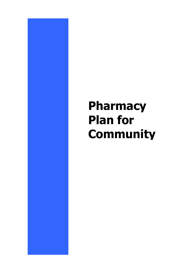# **Pharmacy Plan for Community**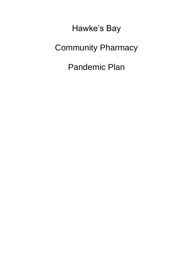Hawke's Bay Community Pharmacy Pandemic Plan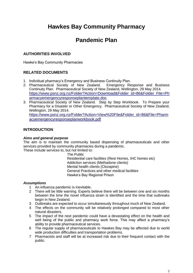# **Hawkes Bay Community Pharmacy**

# **Pandemic Plan**

# **AUTHORITIES INVOLVED**

Hawke's Bay Community Pharmacies

# **RELATED DOCUMENTS**

- 1. Individual pharmacy's Emergency and Business Continuity Plan.
- 2. Pharmaceutical Society of New Zealand. Emergency Response and Business Continuity Plan. Pharmaceutical Society of New Zealand, Wellington, 29 May 2014. [https://www.psnz.org.nz/Folder?Action=Download&Folder\\_id=86&Folder\\_File=Ph](https://www.psnz.org.nz/Folder?Action=Download&Folder_id=86&Folder_File=Pharmacyemergencyresponseplantemplate.doc) [armacyemergencyresponseplantemplate.doc](https://www.psnz.org.nz/Folder?Action=Download&Folder_id=86&Folder_File=Pharmacyemergencyresponseplantemplate.doc)
- 3. Pharmaceutical Society of New Zealand. Step by Step Workbook. To Prepare your Pharmacy for a Disaster or Other Emergency. Pharmaceutical Society of New Zealand, Wellington, 29 May 2014. [https://www.psnz.org.nz/Folder?Action=View%20File&Folder\\_id=86&File=Pharm](https://www.psnz.org.nz/Folder?Action=View%20File&Folder_id=86&File=Pharmacyemergencyresponseplanworkbook.pdf) [acyemergencyresponseplanworkbook.pdf](https://www.psnz.org.nz/Folder?Action=View%20File&Folder_id=86&File=Pharmacyemergencyresponseplanworkbook.pdf)

# **INTRODUCTION**

#### *Aims and general purpose*

The aim is to maintain the community based dispensing of pharmaceuticals and other services provided by community pharmacies during a pandemic. These include services to, but not limited to:

> The Public Residential care facilities (Rest Homes, IHC homes etc) Addiction services (Methadone clients) Mental health clients (Clozapine) General Practices and other medical facilities Hawke's Bay Regional Prison

#### *Assumptions*

- 1 An influenza pandemic is inevitable.
- 2 There will be little warning. Experts believe there will be between one and six months between the time the novel influenza strain is identified and the time that outbreaks begin in New Zealand.
- 3 Outbreaks are expected to occur simultaneously throughout much of New Zealand.
- 4 The effects on the community will be relatively prolonged compared to most other natural disasters.
- 5 The impact of the next pandemic could have a devastating effect on the health and well being of the public and pharmacy work force. This may affect a pharmacy's ability to provide pharmaceutical services.
- 6 The regular supply of pharmaceuticals to Hawkes Bay may be affected due to world wide production difficulties and transportation problems.
- 7 Pharmacists and staff will be at increased risk due to their frequent contact with the public.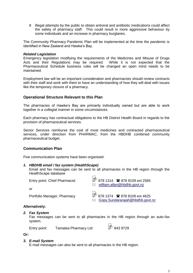8 Illegal attempts by the public to obtain antiviral and antibiotic medications could affect the safety of pharmacy staff. This could result in more aggressive behaviour by some individuals and an increase in pharmacy burglaries.

The Community Pharmacy Pandemic Plan will be implemented at the time the pandemic is identified in New Zealand and Hawke's Bay.

#### *Related Legislation*

Emergency legislation modifying the requirements of the Medicines and Misuse of Drugs Acts and their Regulations may be required. While it is not expected that the Pharmaceutical Schedule business rules will be changed an open mind needs to be maintained.

Employment law will be an important consideration and pharmacists should review contracts with their staff and work with them to have an understanding of how they will deal with issues like the temporary closure of a pharmacy.

# **Operational Structure Relevant to this Plan**

The pharmacies of Hawke's Bay are primarily individually owned but are able to work together in a collegial manner in some circumstances.

Each pharmacy has contractual obligations to the HB District Health Board in regards to the provision of pharmaceutical services.

Sector Services reimburse the cost of most medicines and contracted pharmaceutical services, under direction from PHARMAC, from the HBDHB combined community pharmaceutical budget.

# **Communication Plan**

Five communication systems have been organised:

#### *1. HBDHB email / fax system (HealthScape)*

Email and fax messages can be sent to all pharmacies in the HB region through the HealthScape database

| Entry point: Chief Pharmacist | 878 1314 2678 8109 ext 2565<br>$\boxtimes$ william.allan@hbdhb.govt.nz |
|-------------------------------|------------------------------------------------------------------------|
| .or                           |                                                                        |
| Portfolio Manager, Pharmacy   | 878 1374 <b>1</b> 878 8109 ext 4625<br>Gopy.Sundararajah@hbdhb.govt.nz |

#### **Alternatively:**

*2. Fax System*

Fax messages can be sent to all pharmacies in the HB region through an auto-fax system.

Entry point: Tamatea Pharmacy Ltd 843 9729

**Or:**

#### *3. E-mail System*

E-mail messages can also be sent to all pharmacies in the HB region.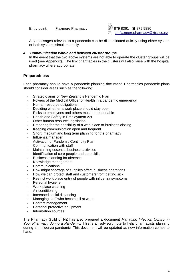Entry point: Flaxmere Pharmacy  $\frac{38}{20}$  879 8361 **8** 879 9880



Any messages relevant to a pandemic can be disseminated quickly using either system or both systems simultaneously.

#### *4. Communication within and between cluster groups.*

In the event that the two above systems are not able to operate the cluster groups will be used (see Appendix). The link pharmacies in the clusters will also liaise with the hospital pharmacy where appropriate.

# **Preparedness**

Each pharmacy should have a pandemic planning document*.* Pharmacies pandemic plans should consider areas such as the following:

- Strategic aims of New Zealand's Pandemic Plan
- Powers of the Medical Officer of Health in a pandemic emergency
- Human resource obligations
- Deciding whether a work place should stay open
- Risks to employees and others must be reasonable
- Health and Safety in Employment Act
- Other human resource legislation
- Preparing for the possibility of a workplace or business closing
- Keeping communication open and frequent
- Short, medium and long term planning for the pharmacy
- Influenza manager
- Activation of Pandemic Continuity Plan
- Communication with staff
- Maintaining essential business activities
- Identification of core people and core skills
- Business planning for absence
- Knowledge management
- **Communications**
- How might shortage of supplies affect business operations
- How we can protect staff and customers from getting sick
- Restrict work place entry of people with influenza symptoms
- Personal hygiene
- Work place cleaning
- Air conditioning
- Increased social distancing
- Managing staff who become ill at work
- Contact management
- Personal protective equipment
- Information sources

The Pharmacy Guild of NZ has also prepared a document *Managing Infection Control in Your Pharmacy during a Pandemic.* This is an advisory note to help pharmacists planning during an influenza pandemic. This document will be updated as new information comes to hand.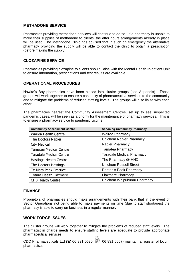# **METHADONE SERVICE**

Pharmacies providing methadone services will continue to do so. If a pharmacy is unable to make their supplies of methadone to clients, the after hours arrangements already in place will be used. The Methadone Clinic has advised that in such an emergency the alternative pharmacy providing the supply will be able to contact the clinic to obtain a prescription (before making the supply).

# **CLOZAPINE SERVICE**

Pharmacies providing clozapine to clients should liaise with the Mental Health In-patient Unit to ensure information, prescriptions and test results are available.

# **OPERATIONAL PROCEDURES**

Hawke's Bay pharmacies have been placed into cluster groups (see Appendix). These groups will work together to ensure a continuity of pharmaceutical services to the community and to mitigate the problems of reduced staffing levels. The groups will also liaise with each other.

The pharmacies nearest the Community Assessment Centres, set up to see suspected pandemic cases, will be seen as a priority for the maintenance of pharmacy services. This is to ensure a pharmacy service to pandemic victims.

| <b>Community Assessment Centre</b> | <b>Servicing Community Pharmacy</b> |
|------------------------------------|-------------------------------------|
| Wairoa Health Centre               | <b>Wairoa Pharmacy</b>              |
| The Doctors Napier                 | Unichem Napier Pharmacy             |
| <b>City Medical</b>                | Napier Pharmacy                     |
| <b>Tamatea Medical Centre</b>      | <b>Tamatea Pharmacy</b>             |
| <b>Taradale Medical Centre</b>     | <b>Taradale Medical Pharmacy</b>    |
| <b>Hastings Health Centre</b>      | The Pharmacy @ HHC                  |
| The Doctors Hastings               | <b>Unichem Russell Street</b>       |
| Te Mata Peak Practice              | Denton's Peak Pharmacy              |
| <b>Totara Health Flaxmere</b>      | <b>Flaxmere Pharmacy</b>            |
| <b>CHB Health Centre</b>           | Unichem Waipukurau Pharmacy         |

#### **FINANCE**

Proprietors of pharmacies should make arrangements with their bank that in the event of Sector Operations not being able to make payments on time (due to staff shortages) the pharmacy is able to carry on business in a regular manner.

#### **WORK FORCE ISSUES**

The cluster groups will work together to mitigate the problems of reduced staff levels. The pharmacist in charge needs to ensure staffing levels are adequate to provide appropriate pharmaceutical services.

CDC Pharmaceuticals Ltd ( $\approx$  06 831 0620; 06 831 0057) maintain a register of locum pharmacists.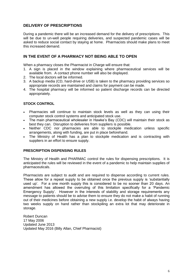# **DELIVERY OF PRESCRIPTIONS**

During a pandemic there will be an increased demand for the delivery of prescriptions. This will be due to un-well people requiring deliveries, and suspected pandemic cases will be asked to reduce social contact by staying at home. Pharmacists should make plans to meet this increased demand.

# **IN THE EVENT OF A PHARMACY NOT BEING ABLE TO OPEN**

When a pharmacy closes the Pharmacist in Charge will ensure that:

- 1. A sign is placed in the window explaining where pharmaceutical services will be available from. A contact phone number will also be displayed.
- 2. The local doctors will be informed.
- 3. A backup media (CD, hard-drive or USB) is taken to the pharmacy providing services so appropriate records are maintained and claims for payment can be made.
- 4. The hospital pharmacy will be informed so patient discharge records can be directed appropriately.

# **STOCK CONTROL**

- Pharmacies will continue to maintain stock levels as well as they can using their computer stock control systems and anticipated stock use.
- The main pharmaceutical wholesaler in Hawke's Bay (CDC) will maintain their stock as best they can. Disruption to deliveries from suppliers is possible.
- Neither CDC nor pharmacies are able to stockpile medication unless specific arrangements, along with funding, are put in place beforehand.
- The Ministry of Health has a plan to stockpile medication and is contracting with suppliers in an effort to ensure supply.

#### **PRESCRIPTION DISPENSING RULES**

The Ministry of Health and PHARMAC control the rules for dispensing prescriptions. It is anticipated the rules will be reviewed in the event of a pandemic to help maintain supplies of pharmaceuticals.

Pharmacists are subject to audit and are required to dispense according to current rules. These allow for a repeat supply to be obtained once the previous supply is 'substantially used up'. For a one month supply this is considered to be no sooner than 20 days. An amendment has allowed the overruling of this limitation specifically for a 'Pandemic Emergency Supply'. However in the interests of stability and storage requirements any message to patients should be to advise them to ensure they do not make a habit of running out of their medicines before obtaining a new supply i.e. develop the habit of always having two weeks supply on hand rather than stockpiling an extra lot that may deteriorate in storage.

Robert Duncan 17 May 2006 Updated June 2013 Updated May 2016 (Billy Allan, Chief Pharmacist)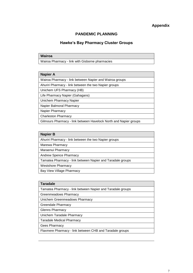# **Appendix**

# **PANDEMIC PLANNING**

#### **Hawke's Bay Pharmacy Cluster Groups**

#### **Wairoa**

Wairoa Pharmacy - link with Gisborne pharmacies

#### **Napier A**

Wairoa Pharmacy - link between Napier and Wairoa groups

Ahuriri Pharmacy - link between the two Napier groups

Unichem UFS Pharmacy (HB)

Life Pharmacy Napier (Gahagans)

Unichem Pharmacy Napier

Napier Balmoral Pharmacy

Napier Pharmacy

Charleston Pharmacy

Gilmours Pharmacy - link between Havelock North and Napier groups

#### **Napier B**

Ahuriri Pharmacy - link between the two Napier groups

Marewa Pharmacy

Maraenui Pharmacy

Andrew Spence Pharmacy

Tamatea Pharmacy - link between Napier and Taradale groups

Westshore Pharmacy

Bay View Village Pharmacy

#### **Taradale**

Tamatea Pharmacy - link between Napier and Taradale groups

Greenmeadows Pharmacy

Unichem Greenmeadows Pharmacy

Greendale Pharmacy

Glenns Pharmacy

Unichem Taradale Pharmacy

Taradale Medical Pharmacy

Gees Pharmacy

Flaxmere Pharmacy - link between CHB and Taradale groups